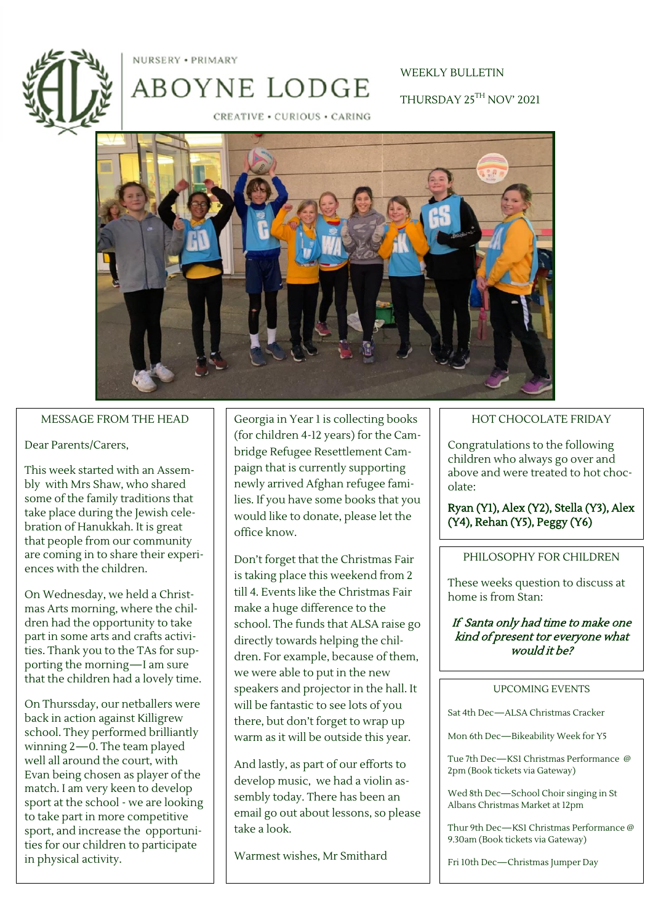NURSERY . PRIMARY

ABOYNE LODGE

# WEEKLY BULLETIN THURSDAY 25TH NOV' 2021

CREATIVE . CURIOUS . CARING



#### MESSAGE FROM THE HEAD

#### Dear Parents/Carers,

This week started with an Assembly with Mrs Shaw, who shared some of the family traditions that take place during the Jewish celebration of Hanukkah. It is great that people from our community are coming in to share their experiences with the children.

On Wednesday, we held a Christmas Arts morning, where the children had the opportunity to take part in some arts and crafts activities. Thank you to the TAs for supporting the morning—I am sure that the children had a lovely time.

On Thurssday, our netballers were back in action against Killigrew school. They performed brilliantly winning 2—0. The team played well all around the court, with Evan being chosen as player of the match. I am very keen to develop sport at the school - we are looking to take part in more competitive sport, and increase the opportunities for our children to participate in physical activity.

Georgia in Year 1 is collecting books (for children 4-12 years) for the Cambridge Refugee Resettlement Campaign that is currently supporting newly arrived Afghan refugee families. If you have some books that you would like to donate, please let the office know.

Don't forget that the Christmas Fair is taking place this weekend from 2 till 4. Events like the Christmas Fair make a huge difference to the school. The funds that ALSA raise go directly towards helping the children. For example, because of them, we were able to put in the new speakers and projector in the hall. It will be fantastic to see lots of you there, but don't forget to wrap up warm as it will be outside this year.

And lastly, as part of our efforts to develop music, we had a violin assembly today. There has been an email go out about lessons, so please take a look.

Warmest wishes, Mr Smithard

## HOT CHOCOLATE FRIDAY

Congratulations to the following children who always go over and above and were treated to hot chocolate:

Ryan (Y1), Alex (Y2), Stella (Y3), Alex (Y4), Rehan (Y5), Peggy (Y6)

### PHILOSOPHY FOR CHILDREN

These weeks question to discuss at home is from Stan:

If Santa only had time to make one kind of present tor everyone what would it be?

#### UPCOMING EVENTS

Sat 4th Dec—ALSA Christmas Cracker

Mon 6th Dec—Bikeability Week for Y5

Tue 7th Dec—KS1 Christmas Performance @ 2pm (Book tickets via Gateway)

Wed 8th Dec—School Choir singing in St Albans Christmas Market at 12pm

Thur 9th Dec—KS1 Christmas Performance @ 9.30am (Book tickets via Gateway)

Fri 10th Dec—Christmas Jumper Day